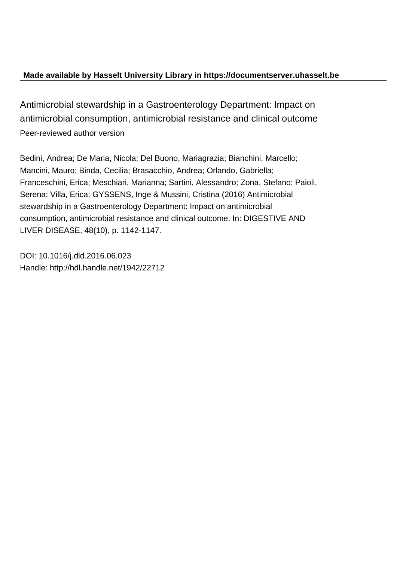### **Made available by Hasselt University Library in https://documentserver.uhasselt.be**

Antimicrobial stewardship in a Gastroenterology Department: Impact on antimicrobial consumption, antimicrobial resistance and clinical outcome Peer-reviewed author version

Bedini, Andrea; De Maria, Nicola; Del Buono, Mariagrazia; Bianchini, Marcello; Mancini, Mauro; Binda, Cecilia; Brasacchio, Andrea; Orlando, Gabriella; Franceschini, Erica; Meschiari, Marianna; Sartini, Alessandro; Zona, Stefano; Paioli, Serena; Villa, Erica; GYSSENS, Inge & Mussini, Cristina (2016) Antimicrobial stewardship in a Gastroenterology Department: Impact on antimicrobial consumption, antimicrobial resistance and clinical outcome. In: DIGESTIVE AND LIVER DISEASE, 48(10), p. 1142-1147.

DOI: 10.1016/j.dld.2016.06.023 Handle: http://hdl.handle.net/1942/22712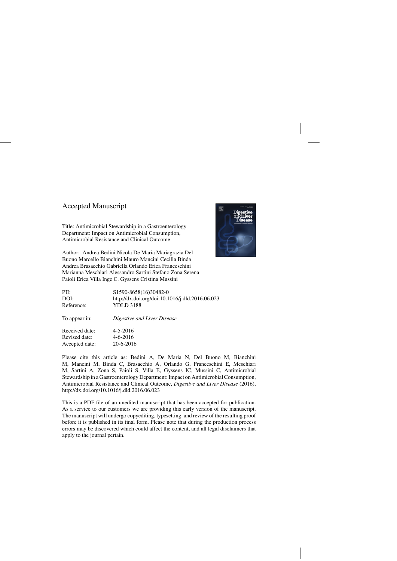### Accepted Manuscript

Title: Antimicrobial Stewardship in a Gastroenterology Department: Impact on Antimicrobial Consumption, Antimicrobial Resistance and Clinical Outcome

Author: Andrea Bedini Nicola De Maria Mariagrazia Del Buono Marcello Bianchini Mauro Mancini Cecilia Binda Andrea Brasacchio Gabriella Orlando Erica Franceschini Marianna Meschiari Alessandro Sartini Stefano Zona Serena Paioli Erica Villa Inge C. Gyssens Cristina Mussini



| PII:           | \$1590-8658(16)30482-0                          |
|----------------|-------------------------------------------------|
| DOI:           | http://dx.doi.org/doi:10.1016/j.dld.2016.06.023 |
| Reference:     | <b>YDLD 3188</b>                                |
| To appear in:  | Digestive and Liver Disease                     |
| Received date: | $4 - 5 - 2016$                                  |
| Revised date:  | $4 - 6 - 2016$                                  |
| Accepted date: | 20-6-2016                                       |

Please cite this article as: Bedini A, De Maria N, Del Buono M, Bianchini M, Mancini M, Binda C, Brasacchio A, Orlando G, Franceschini E, Meschiari M, Sartini A, Zona S, Paioli S, Villa E, Gyssens IC, Mussini C, Antimicrobial Stewardship in a Gastroenterology Department: Impact on Antimicrobial Consumption, Antimicrobial Resistance and Clinical Outcome, *Digestive and Liver Disease* (2016), <http://dx.doi.org/10.1016/j.dld.2016.06.023>

This is a PDF file of an unedited manuscript that has been accepted for publication. As a service to our customers we are providing this early version of the manuscript. The manuscript will undergo copyediting, typesetting, and review of the resulting proof before it is published in its final form. Please note that during the production process errors may be discovered which could affect the content, and all legal disclaimers that apply to the journal pertain.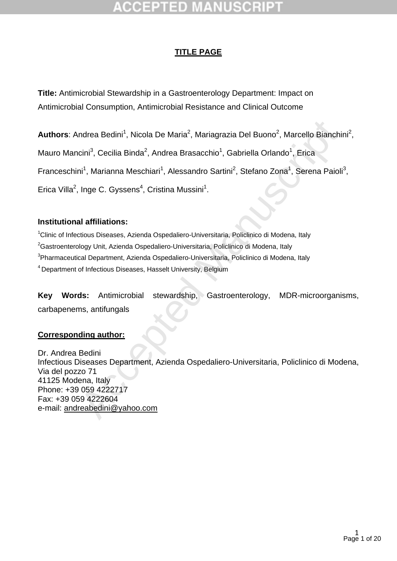### **TITLE PAGE**

**Title:** Antimicrobial Stewardship in a Gastroenterology Department: Impact on Antimicrobial Consumption, Antimicrobial Resistance and Clinical Outcome

Authors: Andrea Bedini<sup>1</sup>, Nicola De Maria<sup>2</sup>, Mariagrazia Del Buono<sup>2</sup>, Marcello Bianchini<sup>2</sup>, Mauro Mancini<sup>3</sup>, Cecilia Binda<sup>2</sup>, Andrea Brasacchio<sup>1</sup>, Gabriella Orlando<sup>1</sup>, Erica Franceschini<sup>1</sup>, Marianna Meschiari<sup>1</sup>, Alessandro Sartini<sup>2</sup>, Stefano Zona<sup>1</sup>, Serena Paioli<sup>3</sup>, Erica Villa<sup>2</sup>, Inge C. Gyssens<sup>4</sup>, Cristina Mussini<sup>1</sup>.

### **Institutional affiliations:**

<sup>1</sup>Clinic of Infectious Diseases, Azienda Ospedaliero-Universitaria, Policlinico di Modena, Italy Gastroenterology Unit, Azienda Ospedaliero-Universitaria, Policlinico di Modena, Italy Pharmaceutical Department, Azienda Ospedaliero-Universitaria, Policlinico di Modena, Italy Department of Infectious Diseases, Hasselt University, Belgium

**Key Words:** Antimicrobial stewardship, Gastroenterology, MDR-microorganisms, carbapenems, antifungals

### **Corresponding author:**

ndrea Bedini<sup>1</sup>, Nicola De Maria<sup>2</sup>, Mariagrazia Del Buono<sup>2</sup>, Marcello Bianchi<br>
cini<sup>3</sup>, Cecilia Binda<sup>2</sup>, Andrea Brasacchio<sup>1</sup>, Gabriella Orlando<sup>1</sup>, Erica<br>
ni<sup>1</sup>, Marianna Meschian<sup>1</sup>, Alessandro Sartini<sup>2</sup>, Stefano Zon Dr. Andrea Bedini Infectious Diseases Department, Azienda Ospedaliero-Universitaria, Policlinico di Modena, Via del pozzo 71 41125 Modena, Italy Phone: +39 059 4222717 Fax: +39 059 4222604 e-mail: [andreabedini@yahoo.com](mailto:andreabedini@yahoo.com)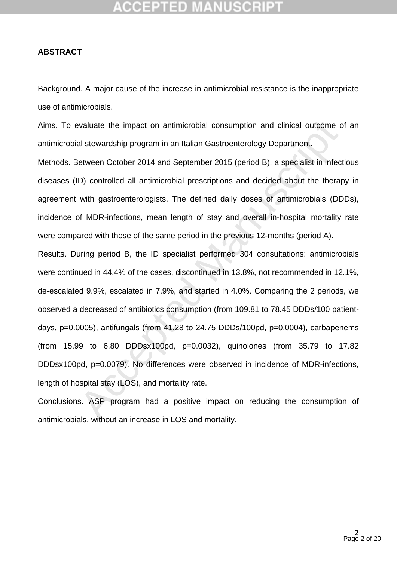# :CEPTED M

### **ABSTRACT**

Background. A major cause of the increase in antimicrobial resistance is the inappropriate use of antimicrobials.

Aims. To evaluate the impact on antimicrobial consumption and clinical outcome of an antimicrobial stewardship program in an Italian Gastroenterology Department.

Methods. Between October 2014 and September 2015 (period B), a specialist in infectious diseases (ID) controlled all antimicrobial prescriptions and decided about the therapy in agreement with gastroenterologists. The defined daily doses of antimicrobials (DDDs), incidence of MDR-infections, mean length of stay and overall in-hospital mortality rate were compared with those of the same period in the previous 12-months (period A).

ivaluate the impact on antimicrobial consumption and clinical outcome cal stewardship program in an Italian Gastroenterology Department.<br>
Hetween October 2014 and September 2015 (period B), a specialist in infective D) con Results. During period B, the ID specialist performed 304 consultations: antimicrobials were continued in 44.4% of the cases, discontinued in 13.8%, not recommended in 12.1%, de-escalated 9.9%, escalated in 7.9%, and started in 4.0%. Comparing the 2 periods, we observed a decreased of antibiotics consumption (from 109.81 to 78.45 DDDs/100 patientdays,  $p=0.0005$ ), antifungals (from 41.28 to 24.75 DDDs/100pd,  $p=0.0004$ ), carbapenems (from 15.99 to 6.80 DDDsx100pd, p=0.0032), quinolones (from 35.79 to 17.82 DDDsx100pd, p=0.0079). No differences were observed in incidence of MDR-infections, length of hospital stay (LOS), and mortality rate.

Conclusions. ASP program had a positive impact on reducing the consumption of antimicrobials, without an increase in LOS and mortality.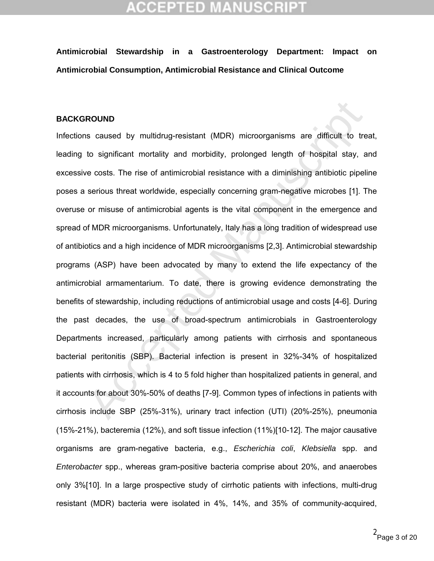# CEPTED M

**Antimicrobial Stewardship in a Gastroenterology Department: Impact on Antimicrobial Consumption, Antimicrobial Resistance and Clinical Outcome**

### **BACKGROUND**

**ROUND**<br>
Is caused by multidrug-resistant (MDR) microorganisms are difficult to tre<br>
to significant mortality and morbidity, prolonged length of hospital stay, a<br>
e costs. The rise of antimicrobial resistance with a dimini Infections caused by multidrug-resistant (MDR) microorganisms are difficult to treat, leading to significant mortality and morbidity, prolonged length of hospital stay, and excessive costs. The rise of antimicrobial resistance with a diminishing antibiotic pipeline poses a serious threat worldwide, especially concerning gram-negative microbes [1]. The overuse or misuse of antimicrobial agents is the vital component in the emergence and spread of MDR microorganisms. Unfortunately, Italy has a long tradition of widespread use of antibiotics and a high incidence of MDR microorganisms [2,3]. Antimicrobial stewardship programs (ASP) have been advocated by many to extend the life expectancy of the antimicrobial armamentarium. To date, there is growing evidence demonstrating the benefits of stewardship, including reductions of antimicrobial usage and costs [4-6]. During the past decades, the use of broad-spectrum antimicrobials in Gastroenterology Departments increased, particularly among patients with cirrhosis and spontaneous bacterial peritonitis (SBP). Bacterial infection is present in 32%-34% of hospitalized patients with cirrhosis, which is 4 to 5 fold higher than hospitalized patients in general, and it accounts for about 30%-50% of deaths [7-9]. Common types of infections in patients with cirrhosis include SBP (25%-31%), urinary tract infection (UTI) (20%-25%), pneumonia (15%-21%), bacteremia (12%), and soft tissue infection (11%)[10-12]. The major causative organisms are gram-negative bacteria, e.g., *Escherichia coli*, *Klebsiella* spp. and *Enterobacter* spp., whereas gram-positive bacteria comprise about 20%, and anaerobes only 3%[10]. In a large prospective study of cirrhotic patients with infections, multi-drug resistant (MDR) bacteria were isolated in 4%, 14%, and 35% of community-acquired,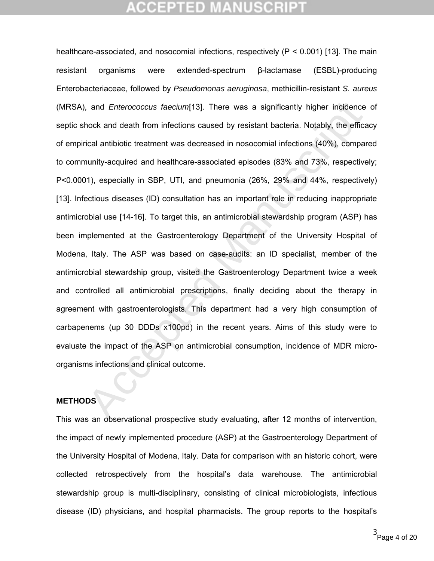and *Enterococcus faecium*[13]. There was a significantly higher incidence<br>nock and death from infections caused by resistant bacteria. Notably, the effice<br>ical antibiotic treatment was decreased in nosocomial infections ( healthcare-associated, and nosocomial infections, respectively (P < 0.001) [13]. The main resistant organisms were extended-spectrum β-lactamase (ESBL)-producing Enterobacteriaceae, followed by *Pseudomonas aeruginosa*, methicillin-resistant *S. aureus* (MRSA), and *Enterococcus faecium*[13]. There was a significantly higher incidence of septic shock and death from infections caused by resistant bacteria. Notably, the efficacy of empirical antibiotic treatment was decreased in nosocomial infections (40%), compared to community-acquired and healthcare-associated episodes (83% and 73%, respectively; P<0.0001), especially in SBP, UTI, and pneumonia (26%, 29% and 44%, respectively) [13]. Infectious diseases (ID) consultation has an important role in reducing inappropriate antimicrobial use [14-16]. To target this, an antimicrobial stewardship program (ASP) has been implemented at the Gastroenterology Department of the University Hospital of Modena, Italy. The ASP was based on case-audits: an ID specialist, member of the antimicrobial stewardship group, visited the Gastroenterology Department twice a week and controlled all antimicrobial prescriptions, finally deciding about the therapy in agreement with gastroenterologists. This department had a very high consumption of carbapenems (up 30 DDDs x100pd) in the recent years. Aims of this study were to evaluate the impact of the ASP on antimicrobial consumption, incidence of MDR microorganisms infections and clinical outcome.

### **METHODS**

This was an observational prospective study evaluating, after 12 months of intervention, the impact of newly implemented procedure (ASP) at the Gastroenterology Department of the University Hospital of Modena, Italy. Data for comparison with an historic cohort, were collected retrospectively from the hospital's data warehouse. The antimicrobial stewardship group is multi-disciplinary, consisting of clinical microbiologists, infectious disease (ID) physicians, and hospital pharmacists. The group reports to the hospital's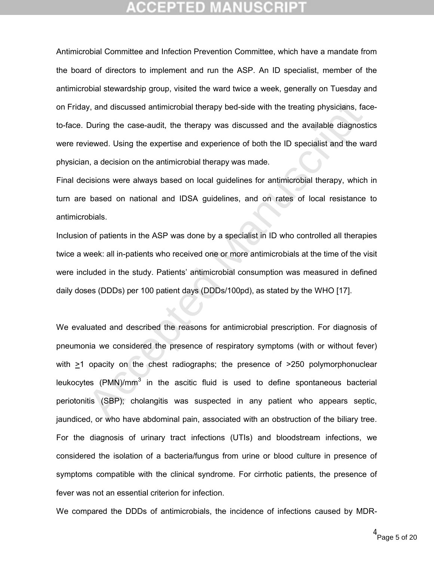Antimicrobial Committee and Infection Prevention Committee, which have a mandate from the board of directors to implement and run the ASP. An ID specialist, member of the antimicrobial stewardship group, visited the ward twice a week, generally on Tuesday and on Friday, and discussed antimicrobial therapy bed-side with the treating physicians, faceto-face. During the case-audit, the therapy was discussed and the available diagnostics were reviewed. Using the expertise and experience of both the ID specialist and the ward physician, a decision on the antimicrobial therapy was made.

Final decisions were always based on local guidelines for antimicrobial therapy, which in turn are based on national and IDSA guidelines, and on rates of local resistance to antimicrobials.

Inclusion of patients in the ASP was done by a specialist in ID who controlled all therapies twice a week: all in-patients who received one or more antimicrobials at the time of the visit were included in the study. Patients' antimicrobial consumption was measured in defined daily doses (DDDs) per 100 patient days (DDDs/100pd), as stated by the WHO [17].

y, and discussed antimicrobial therapy bed-side with the treating physicians, factoming the case-audit, the therapy was discussed and the available diagnost viewed. Using the expertise and experience of both the ID special We evaluated and described the reasons for antimicrobial prescription. For diagnosis of pneumonia we considered the presence of respiratory symptoms (with or without fever) with  $>1$  opacity on the chest radiographs; the presence of  $>250$  polymorphonuclear leukocytes (PMN)/ $mm^3$  in the ascitic fluid is used to define spontaneous bacterial periotonitis (SBP); cholangitis was suspected in any patient who appears septic, jaundiced, or who have abdominal pain, associated with an obstruction of the biliary tree. For the diagnosis of urinary tract infections (UTIs) and bloodstream infections, we considered the isolation of a bacteria/fungus from urine or blood culture in presence of symptoms compatible with the clinical syndrome. For cirrhotic patients, the presence of fever was not an essential criterion for infection.

We compared the DDDs of antimicrobials, the incidence of infections caused by MDR-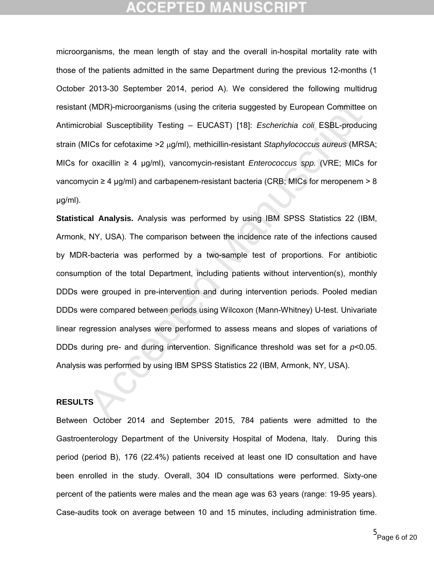## CEPTED

microorganisms, the mean length of stay and the overall in-hospital mortality rate with those of the patients admitted in the same Department during the previous 12-months (1 October 2013-30 September 2014, period A). We considered the following multidrug resistant (MDR)-microorganisms (using the criteria suggested by European Committee on Antimicrobial Susceptibility Testing – EUCAST) [18]: *Escherichia coli* ESBL-producing strain (MICs for cefotaxime > 2 µg/ml), methicillin-resistant *Staphylococcus aureus* (MRSA; MICs for oxacillin ≥ 4 μg/ml), vancomycin-resistant *Enterococcus spp.* (VRE; MICs for vancomycin  $\geq 4$  µg/ml) and carbapenem-resistant bacteria (CRB; MICs for meropenem  $> 8$ μg/ml).

(MDR)-microorganisms (using the criteria suggested by European Committee<br>
bobial Susceptibility Testing – EUCAST) [18]: *Escherichia coli* ESBL-production<br>
IICs for cefotaxime >2 µg/ml), methicillin-resistant *Staphylococc* **Statistical Analysis.** Analysis was performed by using IBM SPSS Statistics 22 (IBM, Armonk, NY, USA). The comparison between the incidence rate of the infections caused by MDR-bacteria was performed by a two-sample test of proportions. For antibiotic consumption of the total Department, including patients without intervention(s), monthly DDDs were grouped in pre-intervention and during intervention periods. Pooled median DDDs were compared between periods using Wilcoxon (Mann-Whitney) U-test. Univariate linear regression analyses were performed to assess means and slopes of variations of DDDs during pre- and during intervention. Significance threshold was set for a *p*<0.05. Analysis was performed by using IBM SPSS Statistics 22 (IBM, Armonk, NY, USA).

### **RESULTS**

Between October 2014 and September 2015, 784 patients were admitted to the Gastroenterology Department of the University Hospital of Modena, Italy. During this period (period B), 176 (22.4%) patients received at least one ID consultation and have been enrolled in the study. Overall, 304 ID consultations were performed. Sixty-one percent of the patients were males and the mean age was 63 years (range: 19-95 years). Case-audits took on average between 10 and 15 minutes, including administration time.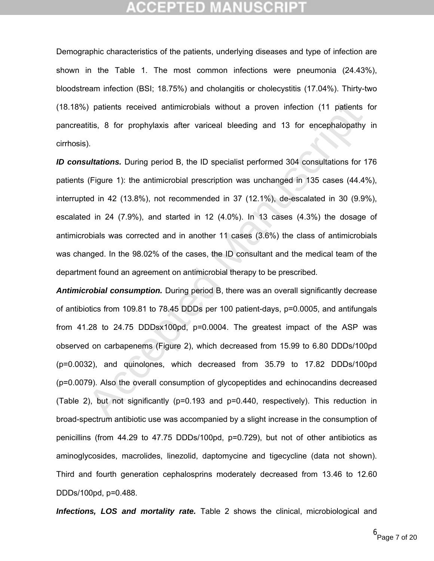Demographic characteristics of the patients, underlying diseases and type of infection are shown in the Table 1. The most common infections were pneumonia (24.43%), bloodstream infection (BSI; 18.75%) and cholangitis or cholecystitis (17.04%). Thirty-two (18.18%) patients received antimicrobials without a proven infection (11 patients for pancreatitis, 8 for prophylaxis after variceal bleeding and 13 for encephalopathy in cirrhosis).

*ID consultations.* During period B, the ID specialist performed 304 consultations for 176 patients (Figure 1): the antimicrobial prescription was unchanged in 135 cases (44.4%), interrupted in 42 (13.8%), not recommended in 37 (12.1%), de-escalated in 30 (9.9%), escalated in 24 (7.9%), and started in 12 (4.0%). In 13 cases (4.3%) the dosage of antimicrobials was corrected and in another 11 cases (3.6%) the class of antimicrobials was changed. In the 98.02% of the cases, the ID consultant and the medical team of the department found an agreement on antimicrobial therapy to be prescribed.

) patients received antimicrobials without a proven infection (11 patients<br>titis, 8 for prophylaxis after variosal bleeding and 13 for encephalopathy<br>
).<br>
unitations. During period B, the ID specialist performed 304 consu *Antimicrobial consumption.* During period B, there was an overall significantly decrease of antibiotics from 109.81 to 78.45 DDDs per 100 patient-days, p=0.0005, and antifungals from 41.28 to 24.75 DDDsx100pd, p=0.0004. The greatest impact of the ASP was observed on carbapenems (Figure 2), which decreased from 15.99 to 6.80 DDDs/100pd (p=0.0032), and quinolones, which decreased from 35.79 to 17.82 DDDs/100pd (p=0.0079). Also the overall consumption of glycopeptides and echinocandins decreased (Table 2), but not significantly (p=0.193 and p=0.440, respectively). This reduction in broad-spectrum antibiotic use was accompanied by a slight increase in the consumption of penicillins (from 44.29 to 47.75 DDDs/100pd, p=0.729), but not of other antibiotics as aminoglycosides, macrolides, linezolid, daptomycine and tigecycline (data not shown). Third and fourth generation cephalosprins moderately decreased from 13.46 to 12.60 DDDs/100pd, p=0.488.

*Infections, LOS and mortality rate.* Table 2 shows the clinical, microbiological and

<sup>6</sup><br>Page 7 of 20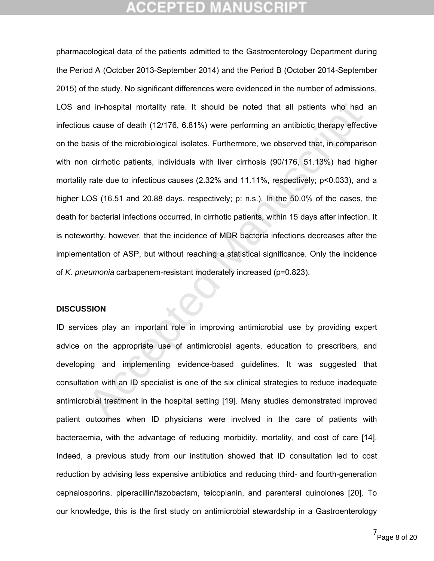d in-hospital mortality rate. It should be noted that all patients who had<br>s cause of death (12/176, 6.81%) were performing an antibiotic therapy effecti<br>asis of the microbiological isolates. Furthermore, we observed that, pharmacological data of the patients admitted to the Gastroenterology Department during the Period A (October 2013-September 2014) and the Period B (October 2014-September 2015) of the study. No significant differences were evidenced in the number of admissions, LOS and in-hospital mortality rate. It should be noted that all patients who had an infectious cause of death (12/176, 6.81%) were performing an antibiotic therapy effective on the basis of the microbiological isolates. Furthermore, we observed that, in comparison with non cirrhotic patients, individuals with liver cirrhosis (90/176, 51.13%) had higher mortality rate due to infectious causes (2.32% and 11.11%, respectively; p<0.033), and a higher LOS (16.51 and 20.88 days, respectively; p: n.s.). In the 50.0% of the cases, the death for bacterial infections occurred, in cirrhotic patients, within 15 days after infection. It is noteworthy, however, that the incidence of MDR bacteria infections decreases after the implementation of ASP, but without reaching a statistical significance. Only the incidence of *K. pneumonia* carbapenem-resistant moderately increased (p=0.823).

### **DISCUSSION**

ID services play an important role in improving antimicrobial use by providing expert advice on the appropriate use of antimicrobial agents, education to prescribers, and developing and implementing evidence-based guidelines. It was suggested that consultation with an ID specialist is one of the six clinical strategies to reduce inadequate antimicrobial treatment in the hospital setting [19]. Many studies demonstrated improved patient outcomes when ID physicians were involved in the care of patients with bacteraemia, with the advantage of reducing morbidity, mortality, and cost of care [14]. Indeed, a previous study from our institution showed that ID consultation led to cost reduction by advising less expensive antibiotics and reducing third- and fourth-generation cephalosporins, piperacillin/tazobactam, teicoplanin, and parenteral quinolones [20]. To our knowledge, this is the first study on antimicrobial stewardship in a Gastroenterology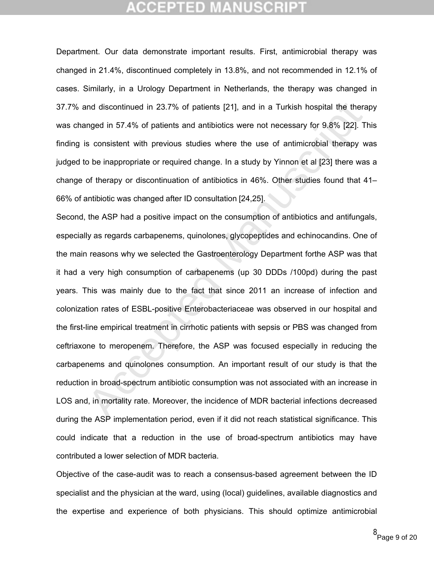Department. Our data demonstrate important results. First, antimicrobial therapy was changed in 21.4%, discontinued completely in 13.8%, and not recommended in 12.1% of cases. Similarly, in a Urology Department in Netherlands, the therapy was changed in 37.7% and discontinued in 23.7% of patients [21], and in a Turkish hospital the therapy was changed in 57.4% of patients and antibiotics were not necessary for 9.8% [22]. This finding is consistent with previous studies where the use of antimicrobial therapy was judged to be inappropriate or required change. In a study by Yinnon et al [23] there was a change of therapy or discontinuation of antibiotics in 46%. Other studies found that 41– 66% of antibiotic was changed after ID consultation [24,25].

and discontinued in 23.7% of patients [21], and in a Turkish hospital the theranged in 57.4% of patients and antibiotics were not necessary for 9.8% [22]. Tis consistent with previous studies where the use of antimicrobial Second, the ASP had a positive impact on the consumption of antibiotics and antifungals, especially as regards carbapenems, quinolones, glycopeptides and echinocandins. One of the main reasons why we selected the Gastroenterology Department forthe ASP was that it had a very high consumption of carbapenems (up 30 DDDs /100pd) during the past years. This was mainly due to the fact that since 2011 an increase of infection and colonization rates of ESBL-positive Enterobacteriaceae was observed in our hospital and the first-line empirical treatment in cirrhotic patients with sepsis or PBS was changed from ceftriaxone to meropenem. Therefore, the ASP was focused especially in reducing the carbapenems and quinolones consumption. An important result of our study is that the reduction in broad-spectrum antibiotic consumption was not associated with an increase in LOS and, in mortality rate. Moreover, the incidence of MDR bacterial infections decreased during the ASP implementation period, even if it did not reach statistical significance. This could indicate that a reduction in the use of broad-spectrum antibiotics may have contributed a lower selection of MDR bacteria.

Objective of the case-audit was to reach a consensus-based agreement between the ID specialist and the physician at the ward, using (local) guidelines, available diagnostics and the expertise and experience of both physicians. This should optimize antimicrobial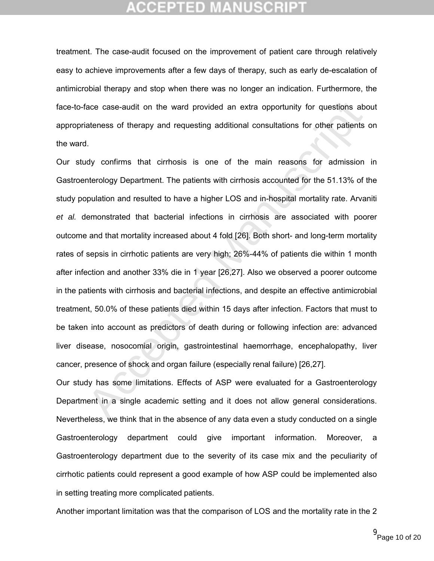treatment. The case-audit focused on the improvement of patient care through relatively easy to achieve improvements after a few days of therapy, such as early de-escalation of antimicrobial therapy and stop when there was no longer an indication. Furthermore, the face-to-face case-audit on the ward provided an extra opportunity for questions about appropriateness of therapy and requesting additional consultations for other patients on the ward.

ace case-audit on the ward provided an extra opportunity for questions ab<br>ateness of therapy and requesting additional consultations for other patients<br>1.<br>
Adv confirms that cirrhosis is one of the main reasons for admissi Our study confirms that cirrhosis is one of the main reasons for admission in Gastroenterology Department. The patients with cirrhosis accounted for the 51.13% of the study population and resulted to have a higher LOS and in-hospital mortality rate. Arvaniti *et al.* demonstrated that bacterial infections in cirrhosis are associated with poorer outcome and that mortality increased about 4 fold [26]. Both short- and long-term mortality rates of sepsis in cirrhotic patients are very high; 26%-44% of patients die within 1 month after infection and another 33% die in 1 year [26,27]. Also we observed a poorer outcome in the patients with cirrhosis and bacterial infections, and despite an effective antimicrobial treatment, 50.0% of these patients died within 15 days after infection. Factors that must to be taken into account as predictors of death during or following infection are: advanced liver disease, nosocomial origin, gastrointestinal haemorrhage, encephalopathy, liver cancer, presence of shock and organ failure (especially renal failure) [26,27].

Our study has some limitations. Effects of ASP were evaluated for a Gastroenterology Department in a single academic setting and it does not allow general considerations. Nevertheless, we think that in the absence of any data even a study conducted on a single Gastroenterology department could give important information. Moreover, a Gastroenterology department due to the severity of its case mix and the peculiarity of cirrhotic patients could represent a good example of how ASP could be implemented also in setting treating more complicated patients.

Another important limitation was that the comparison of LOS and the mortality rate in the 2

Page 10 of 20 9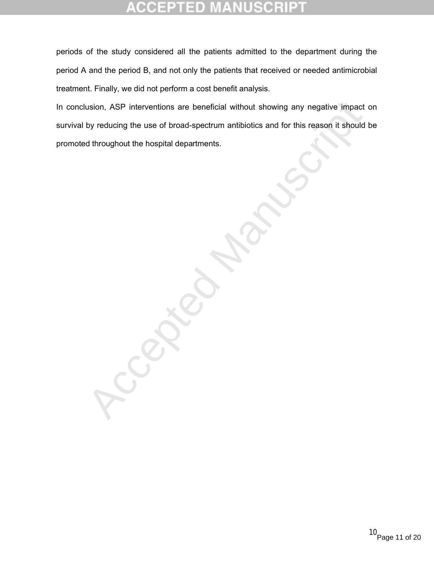### CCEPTED 30 B

periods of the study considered all the patients admitted to the department during the period A and the period B, and not only the patients that received or needed antimicrobial treatment. Finally, we did not perform a cost benefit analysis.

In conclusion, ASP interventions are beneficial without showing any negative impact on survival by reducing the use of broad-spectrum antibiotics and for this reason it should be promoted throughout the hospital departments.

usion, ASP interventions are beneficial without showing any negative impact<br>by reducing the use of broad-spectrum antibiotics and for this reason it should<br>d throughout the hospital departments.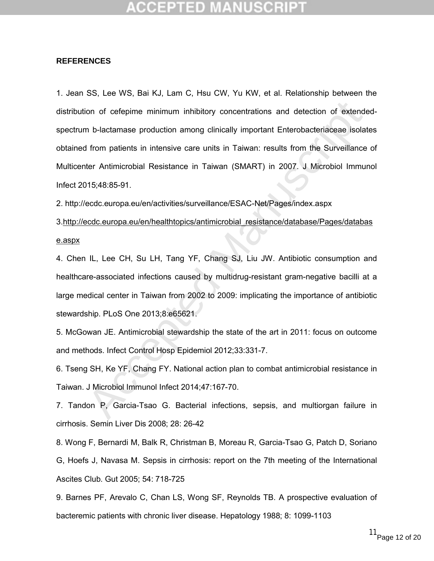## CEPTED

### **REFERENCES**

on of cefepime minimum inhibitory concentrations and detection of extends<br>an b-lactamase production among clinically important Enterobacteriaceae isolat<br>from patients in intensive care units in Taiwan: results from the Sur 1. Jean SS, Lee WS, Bai KJ, Lam C, Hsu CW, Yu KW, et al. Relationship between the distribution of cefepime minimum inhibitory concentrations and detection of extendedspectrum b-lactamase production among clinically important Enterobacteriaceae isolates obtained from patients in intensive care units in Taiwan: results from the Surveillance of Multicenter Antimicrobial Resistance in Taiwan (SMART) in 2007. J Microbiol Immunol Infect 2015;48:85-91.

2. http://ecdc.europa.eu/en/activities/surveillance/ESAC-Net/Pages/index.aspx

3.http://ecdc.europa.eu/en/healthtopics/antimicrobial\_resistance/database/Pages/databas e.aspx

4. Chen IL, Lee CH, Su LH, Tang YF, Chang SJ, Liu JW. Antibiotic consumption and healthcare-associated infections caused by multidrug-resistant gram-negative bacilli at a large medical center in Taiwan from 2002 to 2009: implicating the importance of antibiotic stewardship. PLoS One 2013;8:e65621.

5. McGowan JE. Antimicrobial stewardship the state of the art in 2011: focus on outcome and methods. Infect Control Hosp Epidemiol 2012;33:331-7.

6. Tseng SH, Ke YF, Chang FY. National action plan to combat antimicrobial resistance in Taiwan. J Microbiol Immunol Infect 2014;47:167-70.

7. Tandon P, Garcia-Tsao G. Bacterial infections, sepsis, and multiorgan failure in cirrhosis. Semin Liver Dis 2008; 28: 26-42

8. Wong F, Bernardi M, Balk R, Christman B, Moreau R, Garcia-Tsao G, Patch D, Soriano G, Hoefs J, Navasa M. Sepsis in cirrhosis: report on the 7th meeting of the International Ascites Club. Gut 2005; 54: 718-725

9. Barnes PF, Arevalo C, Chan LS, Wong SF, Reynolds TB. A prospective evaluation of bacteremic patients with chronic liver disease. Hepatology 1988; 8: 1099-1103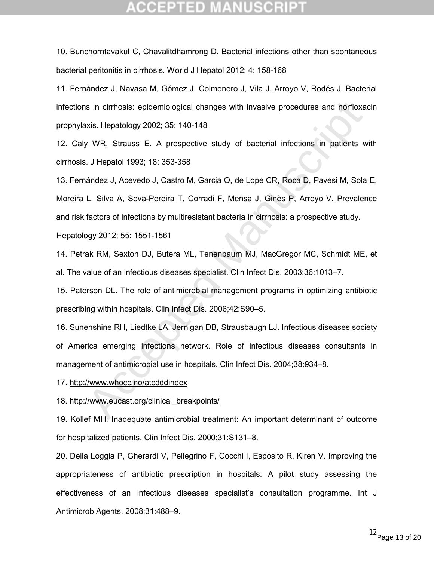## CCEPTED

10. Bunchorntavakul C, Chavalitdhamrong D. Bacterial infections other than spontaneous bacterial peritonitis in cirrhosis. World J Hepatol 2012; 4: 158-168

11. Fernández J, Navasa M, Gómez J, Colmenero J, Vila J, Arroyo V, Rodés J. Bacterial infections in cirrhosis: epidemiological changes with invasive procedures and norfloxacin prophylaxis. Hepatology 2002; 35: 140-148

12. Caly WR, Strauss E. A prospective study of bacterial infections in patients with cirrhosis. J Hepatol 1993; 18: 353-358

s in cirrhosis: epidemiological changes with invasive procedures and norfloxa<br>
xis. Hepatology 2002; 35: 140-148<br>
V.W.R. Strauss E. A prospective study of bacterial infections in patients w<br>
.J. Hepatol 1993; 18: 353-358<br> 13. Fernández J, Acevedo J, Castro M, Garcia O, de Lope CR, Roca D, Pavesi M, Sola E, Moreira L, Silva A, Seva-Pereira T, Corradi F, Mensa J, Ginès P, Arroyo V. Prevalence and risk factors of infections by multiresistant bacteria in cirrhosis: a prospective study. Hepatology 2012; 55: 1551-1561

14. Petrak RM, Sexton DJ, Butera ML, Tenenbaum MJ, MacGregor MC, Schmidt ME, et al. The value of an infectious diseases specialist. Clin Infect Dis. 2003;36:1013–7.

15. Paterson DL. The role of antimicrobial management programs in optimizing antibiotic prescribing within hospitals. Clin Infect Dis. 2006;42:S90–5.

16. Sunenshine RH, Liedtke LA, Jernigan DB, Strausbaugh LJ. Infectious diseases society of America emerging infections network. Role of infectious diseases consultants in management of antimicrobial use in hospitals. Clin Infect Dis. 2004;38:934–8.

17. http://www*.*whocc*.*no/atcdddindex

18. http://www.eucast.org/clinical\_breakpoints/

19. Kollef MH. Inadequate antimicrobial treatment: An important determinant of outcome for hospitalized patients. Clin Infect Dis. 2000;31:S131–8.

20. Della Loggia P, Gherardi V, Pellegrino F, Cocchi I, Esposito R, Kiren V. Improving the appropriateness of antibiotic prescription in hospitals: A pilot study assessing the effectiveness of an infectious diseases specialist's consultation programme. Int J Antimicrob Agents. 2008;31:488–9.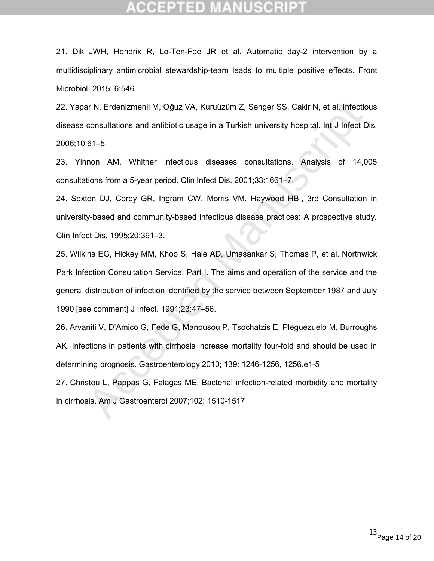## CEPTED

21. Dik JWH, Hendrix R, Lo-Ten-Foe JR et al. Automatic day-2 intervention by a multidisciplinary antimicrobial stewardship-team leads to multiple positive effects. Front Microbiol. 2015; 6:546

22. Yapar N, Erdenizmenli M, Oğuz VA, Kuruüzüm Z, Senger SS, Cakir N, et al. Infectious disease consultations and antibiotic usage in a Turkish university hospital. Int J Infect Dis. 2006;10:61–5.

23. Yinnon AM. Whither infectious diseases consultations. Analysis of 14,005 consultations from a 5-year period. Clin Infect Dis. 2001;33:1661–7.

24. Sexton DJ, Corey GR, Ingram CW, Morris VM, Haywood HB., 3rd Consultation in university-based and community-based infectious disease practices: A prospective study. Clin Infect Dis. 1995;20:391–3.

25. Wilkins EG, Hickey MM, Khoo S, Hale AD, Umasankar S, Thomas P, et al. Northwick Park Infection Consultation Service. Part I. The aims and operation of the service and the general distribution of infection identified by the service between September 1987 and July 1990 [see comment] J Infect. 1991;23:47–56.

ar N, Erdenizmenli M, Oğuz VA, Kuruüzüm Z, Senger SS, Cakir N, et al. Infectio<br>consultations and antibiotic usage in a Turkish university hospital. Int J Infect D<br>c.f. 1-5.<br>f.f. -5.<br>f.f. -5.<br>f.f. -5.<br>f.f. -5.<br>f.f. -5.<br>f.f. 26. Arvaniti V, D'Amico G, Fede G, Manousou P, Tsochatzis E, Pleguezuelo M, Burroughs AK. Infections in patients with cirrhosis increase mortality four-fold and should be used in determining prognosis. Gastroenterology 2010; 139: 1246-1256, 1256.e1-5 27. Christou L, Pappas G, Falagas ME. Bacterial infection-related morbidity and mortality

in cirrhosis. Am J Gastroenterol 2007;102: 1510-1517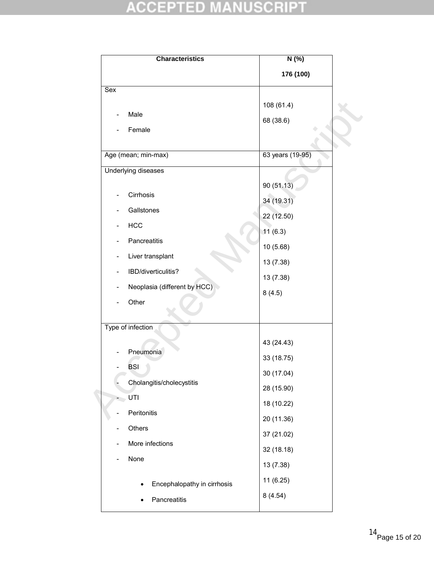# **ACCEPTED MANUSCRIPT**

| <b>Characteristics</b>                            | $N(\%)$          |
|---------------------------------------------------|------------------|
|                                                   | 176 (100)        |
| $\overline{\text{Sex}}$                           |                  |
|                                                   | 108 (61.4)       |
| Male                                              | 68 (38.6)        |
| Female                                            |                  |
| Age (mean; min-max)                               | 63 years (19-95) |
| <b>Underlying diseases</b>                        |                  |
|                                                   | 90 (51.13)       |
| Cirrhosis                                         | 34 (19.31)       |
| Gallstones                                        | 22 (12.50)       |
| <b>HCC</b><br>$\qquad \qquad -$                   | 11(6.3)          |
| Pancreatitis                                      | 10 (5.68)        |
| Liver transplant<br>$\qquad \qquad \blacksquare$  | 13 (7.38)        |
| IBD/diverticulitis?<br>$\overline{\phantom{a}}$   | 13 (7.38)        |
| Neoplasia (different by HCC)<br>$\qquad \qquad -$ | 8(4.5)           |
| Other                                             |                  |
| Type of infection                                 |                  |
|                                                   |                  |
| Pneumonia                                         | 43 (24.43)       |
| <b>BSI</b>                                        | 33 (18.75)       |
| Cholangitis/cholecystitis                         | 30 (17.04)       |
| UTI<br>$\overline{\phantom{a}}$                   | 28 (15.90)       |
| Peritonitis                                       | 18 (10.22)       |
| Others                                            | 20 (11.36)       |
| More infections<br>$\qquad \qquad -$              | 37 (21.02)       |
| None<br>$\overline{\phantom{0}}$                  | 32 (18.18)       |
|                                                   | 13 (7.38)        |
|                                                   | 11 (6.25)        |
| Encephalopathy in cirrhosis                       | 8(4.54)          |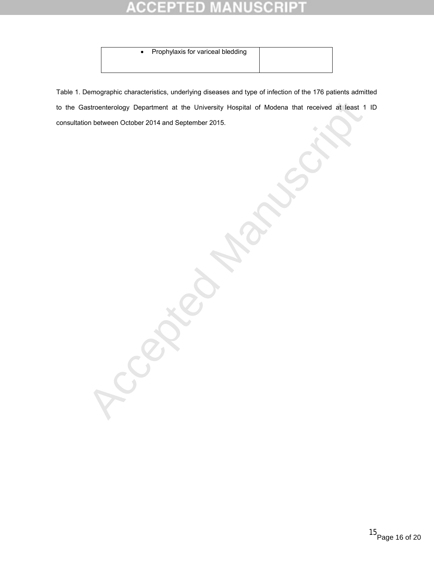### Ė D 0 E ۰

• Prophylaxis for variceal bledding

Accepted Manuscript

Table 1. Demographic characteristics, underlying diseases and type of infection of the 176 patients admitted to the Gastroenterology Department at the University Hospital of Modena that received at least 1 ID consultation between October 2014 and September 2015.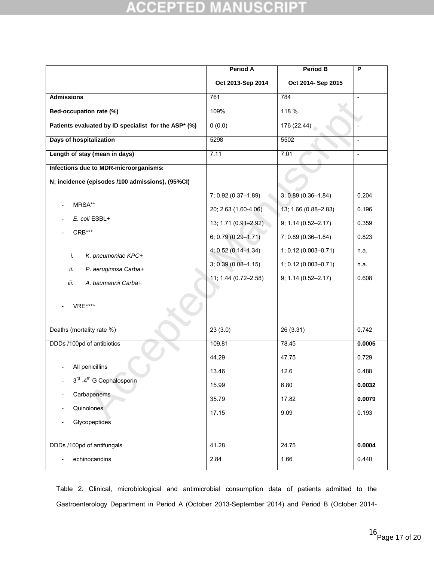### **NUSCRIP CCEPTED**  $\mu$ N Ŧ

|                                                      | <b>Period A</b>      | <b>Period B</b>      | $\overline{P}$           |
|------------------------------------------------------|----------------------|----------------------|--------------------------|
|                                                      | Oct 2013-Sep 2014    | Oct 2014- Sep 2015   |                          |
| <b>Admissions</b>                                    | 761                  | 784                  | $\blacksquare$           |
| Bed-occupation rate (%)                              | 109%                 | 118 %                |                          |
| Patients evaluated by ID specialist for the ASP* (%) | 0(0.0)               | 176 (22.44)          | $\frac{1}{2}$            |
| Days of hospitalization                              | 5298                 | 5502                 | $\frac{1}{2}$            |
| Length of stay (mean in days)                        | 7.11                 | 7.01                 | $\overline{\phantom{a}}$ |
| Infections due to MDR-microorganisms:                |                      |                      |                          |
| N; incidence (episodes /100 admissions), (95%CI)     |                      |                      |                          |
|                                                      | 7; 0.92 (0.37-1.89)  | 3; 0.89 (0.36-1.84)  | 0.204                    |
| MRSA**                                               | 20; 2.63 (1.60-4.06) | 13; 1.66 (0.88-2.83) | 0.196                    |
| E. coli ESBL+                                        | 13; 1.71 (0.91-2.92) | 9; 1.14 (0.52-2.17)  | 0.359                    |
| CRB***                                               | 6, 0.79 (0.29-1.71)  | 7; 0.89 (0.36-1.84)  | 0.823                    |
| K. pneumoniae KPC+<br>i.                             | 4, 0.52 (0.14-1.34)  | 1; 0.12 (0.003-0.71) | n.a.                     |
| ii.<br>P. aeruginosa Carba+                          | 3; 0.39 (0.08-1.15)  | 1; 0.12 (0.003-0.71) | n.a.                     |
| iii.<br>A. baumannii Carba+                          | 11; 1.44 (0.72-2.58) | 9; 1.14 (0.52-2.17)  | 0.608                    |
| <b>VRE****</b>                                       |                      |                      |                          |
| Deaths (mortality rate %)                            | 23(3.0)              | 26(3.31)             | 0.742                    |
| DDDs /100pd of antibiotics                           | 109.81               | 78.45                | 0.0005                   |
|                                                      | 44.29                | 47.75                | 0.729                    |
| All penicillins                                      | 13.46                | 12.6                 | 0.488                    |
| $3^{\text{rd}}$ -4 <sup>th</sup> G Cephalosporin     | 15.99                | 6.80                 | 0.0032                   |
| Carbapenems                                          | 35.79                | 17.82                | 0.0079                   |
| Quinolones                                           | 17.15                | 9.09                 | 0.193                    |
| Glycopeptides                                        |                      |                      |                          |
| DDDs /100pd of antifungals                           | 41.28                | 24.75                | 0.0004                   |
| echinocandins                                        | 2.84                 | 1.66                 | 0.440                    |

Table 2. Clinical, microbiological and antimicrobial consumption data of patients admitted to the Gastroenterology Department in Period A (October 2013-September 2014) and Period B (October 2014-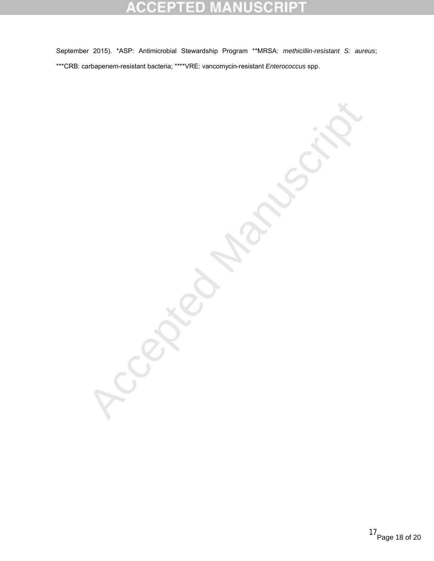### CR B ele ID

September 2015). \*ASP: Antimicrobial Stewardship Program \*\*MRSA: *methicillin-resistant S: aureus*; \*\*\*CRB: carbapenem-resistant bacteria; \*\*\*\*VRE: vancomycin-resistant *Enterococcus* spp.

**Recisions**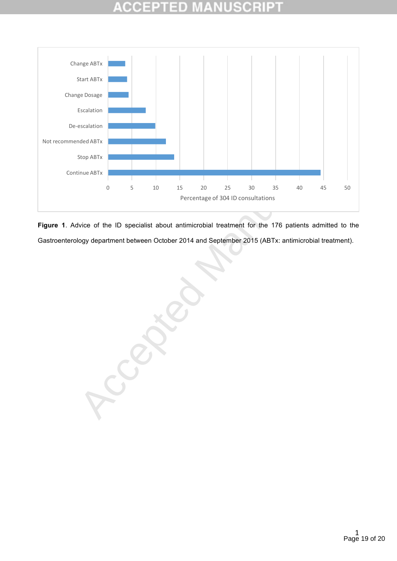

Figure 1. Advice of the ID specialist about antimicrobial treatment for the 176 patients admitted to the Gastroenterology department between October 2014 and September 2015 (ABTx: antimicrobial treatment).